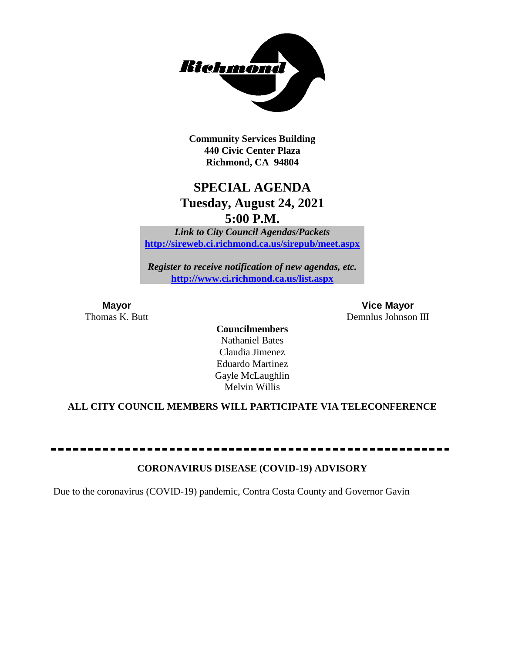

**Community Services Building 440 Civic Center Plaza Richmond, CA 94804**

# **SPECIAL AGENDA Tuesday, August 24, 2021 5:00 P.M.**

*Link to City Council Agendas/Packets* **<http://sireweb.ci.richmond.ca.us/sirepub/meet.aspx>**

*Register to receive notification of new agendas, etc.* **<http://www.ci.richmond.ca.us/list.aspx>**

**Mayor Vice Mayor** Thomas K. Butt Demnlus Johnson III

> **Councilmembers** Nathaniel Bates Claudia Jimenez Eduardo Martinez Gayle McLaughlin Melvin Willis

# **ALL CITY COUNCIL MEMBERS WILL PARTICIPATE VIA TELECONFERENCE**

#### **CORONAVIRUS DISEASE (COVID-19) ADVISORY**

Due to the coronavirus (COVID-19) pandemic, Contra Costa County and Governor Gavin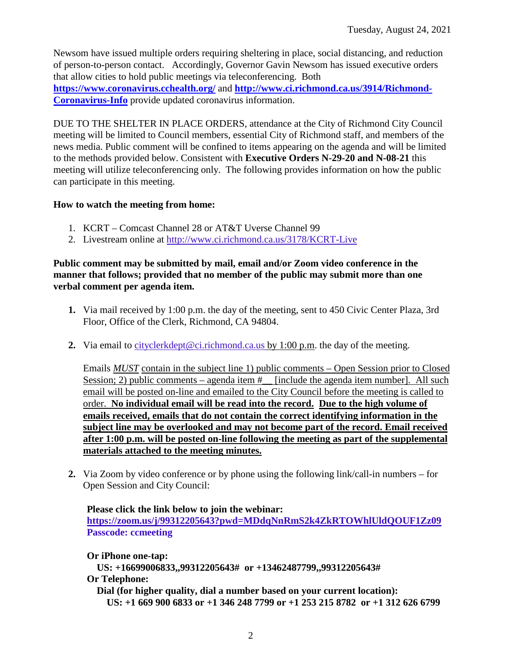Newsom have issued multiple orders requiring sheltering in place, social distancing, and reduction of person-to-person contact. Accordingly, Governor Gavin Newsom has issued executive orders that allow cities to hold public meetings via teleconferencing. Both **<https://www.coronavirus.cchealth.org/>** and **[http://www.ci.richmond.ca.us/3914/Richmond-](http://www.ci.richmond.ca.us/3914/Richmond-Coronavirus-Info)[Coronavirus-Info](http://www.ci.richmond.ca.us/3914/Richmond-Coronavirus-Info)** provide updated coronavirus information.

DUE TO THE SHELTER IN PLACE ORDERS, attendance at the City of Richmond City Council meeting will be limited to Council members, essential City of Richmond staff, and members of the news media. Public comment will be confined to items appearing on the agenda and will be limited to the methods provided below. Consistent with **Executive Orders N-29-20 and N-08-21** this meeting will utilize teleconferencing only. The following provides information on how the public can participate in this meeting.

# **How to watch the meeting from home:**

- 1. KCRT Comcast Channel 28 or AT&T Uverse Channel 99
- 2. Livestream online at<http://www.ci.richmond.ca.us/3178/KCRT-Live>

# **Public comment may be submitted by mail, email and/or Zoom video conference in the manner that follows; provided that no member of the public may submit more than one verbal comment per agenda item.**

- **1.** Via mail received by 1:00 p.m. the day of the meeting, sent to 450 Civic Center Plaza, 3rd Floor, Office of the Clerk, Richmond, CA 94804.
- **2.** Via email to [cityclerkdept@ci.richmond.ca.us](mailto:cityclerkdept@ci.richmond.ca.us) by 1:00 p.m. the day of the meeting.

Emails *MUST* contain in the subject line 1) public comments – Open Session prior to Closed Session; 2) public comments – agenda item  $#$  [include the agenda item number]. All such email will be posted on-line and emailed to the City Council before the meeting is called to order. **No individual email will be read into the record. Due to the high volume of emails received, emails that do not contain the correct identifying information in the subject line may be overlooked and may not become part of the record. Email received after 1:00 p.m. will be posted on-line following the meeting as part of the supplemental materials attached to the meeting minutes.**

**2.** Via Zoom by video conference or by phone using the following link/call-in numbers – for Open Session and City Council:

# **Please click the link below to join the webinar:**

**<https://zoom.us/j/99312205643?pwd=MDdqNnRmS2k4ZkRTOWhlUldQOUF1Zz09> Passcode: ccmeeting**

**Or iPhone one-tap:**

**US: +16699006833,,99312205643# or +13462487799,,99312205643# Or Telephone:**

**Dial (for higher quality, dial a number based on your current location): US: +1 669 900 6833 or +1 346 248 7799 or +1 253 215 8782 or +1 312 626 6799**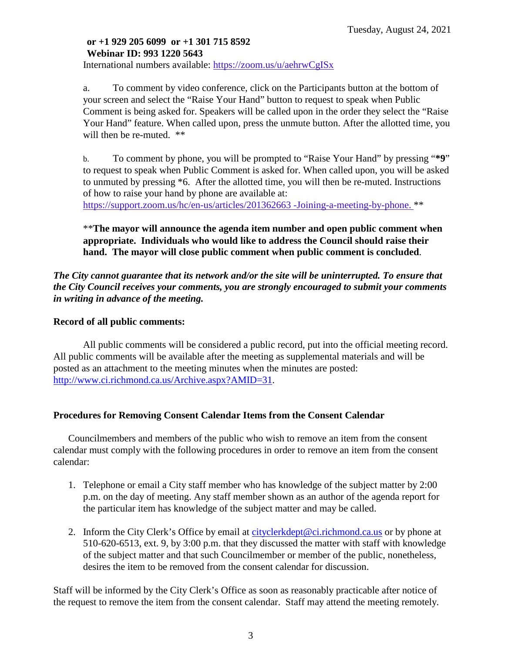# **or +1 929 205 6099 or +1 301 715 8592 Webinar ID: 993 1220 5643**

International numbers available: <https://zoom.us/u/aehrwCgISx>

a. To comment by video conference, click on the Participants button at the bottom of your screen and select the "Raise Your Hand" button to request to speak when Public Comment is being asked for. Speakers will be called upon in the order they select the "Raise Your Hand" feature. When called upon, press the unmute button. After the allotted time, you will then be re-muted. \*\*

b. To comment by phone, you will be prompted to "Raise Your Hand" by pressing "**\*9**" to request to speak when Public Comment is asked for. When called upon, you will be asked to unmuted by pressing \*6. After the allotted time, you will then be re-muted. Instructions of how to raise your hand by phone are available at:

[https://support.zoom.us/hc/en-us/articles/201362663 -Joining-a-meeting-by-phone.](https://support.zoom.us/hc/en-us/articles/201362663) \*\*

\*\***The mayor will announce the agenda item number and open public comment when appropriate. Individuals who would like to address the Council should raise their hand. The mayor will close public comment when public comment is concluded**.

*The City cannot guarantee that its network and/or the site will be uninterrupted. To ensure that the City Council receives your comments, you are strongly encouraged to submit your comments in writing in advance of the meeting.* 

# **Record of all public comments:**

All public comments will be considered a public record, put into the official meeting record. All public comments will be available after the meeting as supplemental materials and will be posted as an attachment to the meeting minutes when the minutes are posted: [http://www.ci.richmond.ca.us/Archive.aspx?AMID=31.](http://www.ci.richmond.ca.us/Archive.aspx?AMID=31)

# **Procedures for Removing Consent Calendar Items from the Consent Calendar**

Councilmembers and members of the public who wish to remove an item from the consent calendar must comply with the following procedures in order to remove an item from the consent calendar:

- 1. Telephone or email a City staff member who has knowledge of the subject matter by 2:00 p.m. on the day of meeting. Any staff member shown as an author of the agenda report for the particular item has knowledge of the subject matter and may be called.
- 2. Inform the City Clerk's Office by email at [cityclerkdept@ci.richmond.ca.us](mailto:cityclerkdept@ci.richmond.ca.us) or by phone at 510-620-6513, ext. 9, by 3:00 p.m. that they discussed the matter with staff with knowledge of the subject matter and that such Councilmember or member of the public, nonetheless, desires the item to be removed from the consent calendar for discussion.

Staff will be informed by the City Clerk's Office as soon as reasonably practicable after notice of the request to remove the item from the consent calendar. Staff may attend the meeting remotely.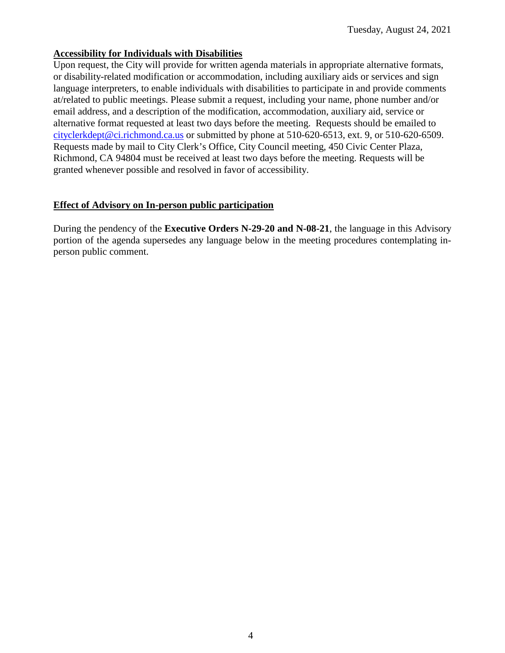#### **Accessibility for Individuals with Disabilities**

Upon request, the City will provide for written agenda materials in appropriate alternative formats, or disability-related modification or accommodation, including auxiliary aids or services and sign language interpreters, to enable individuals with disabilities to participate in and provide comments at/related to public meetings. Please submit a request, including your name, phone number and/or email address, and a description of the modification, accommodation, auxiliary aid, service or alternative format requested at least two days before the meeting. Requests should be emailed to [cityclerkdept@ci.richmond.ca.us](mailto:cityclerkdept@ci.richmond.ca.us) or submitted by phone at 510-620-6513, ext. 9, or 510-620-6509. Requests made by mail to City Clerk's Office, City Council meeting, 450 Civic Center Plaza, Richmond, CA 94804 must be received at least two days before the meeting. Requests will be granted whenever possible and resolved in favor of accessibility.

#### **Effect of Advisory on In-person public participation**

During the pendency of the **Executive Orders N-29-20 and N-08-21**, the language in this Advisory portion of the agenda supersedes any language below in the meeting procedures contemplating inperson public comment.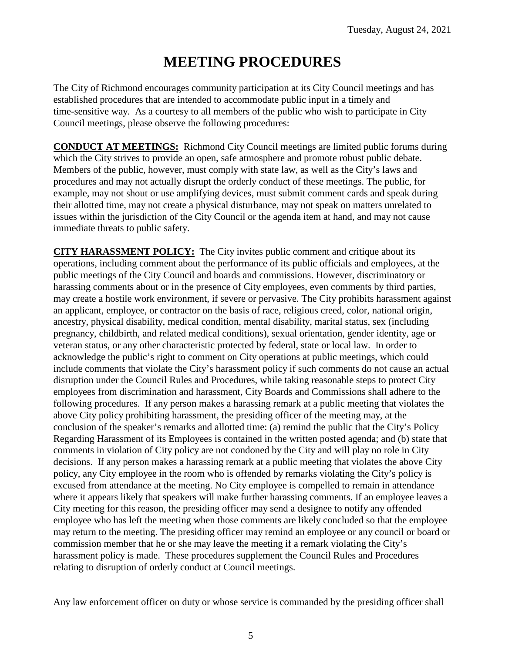# **MEETING PROCEDURES**

The City of Richmond encourages community participation at its City Council meetings and has established procedures that are intended to accommodate public input in a timely and time-sensitive way. As a courtesy to all members of the public who wish to participate in City Council meetings, please observe the following procedures:

**CONDUCT AT MEETINGS:** Richmond City Council meetings are limited public forums during which the City strives to provide an open, safe atmosphere and promote robust public debate. Members of the public, however, must comply with state law, as well as the City's laws and procedures and may not actually disrupt the orderly conduct of these meetings. The public, for example, may not shout or use amplifying devices, must submit comment cards and speak during their allotted time, may not create a physical disturbance, may not speak on matters unrelated to issues within the jurisdiction of the City Council or the agenda item at hand, and may not cause immediate threats to public safety.

**CITY HARASSMENT POLICY:** The City invites public comment and critique about its operations, including comment about the performance of its public officials and employees, at the public meetings of the City Council and boards and commissions. However, discriminatory or harassing comments about or in the presence of City employees, even comments by third parties, may create a hostile work environment, if severe or pervasive. The City prohibits harassment against an applicant, employee, or contractor on the basis of race, religious creed, color, national origin, ancestry, physical disability, medical condition, mental disability, marital status, sex (including pregnancy, childbirth, and related medical conditions), sexual orientation, gender identity, age or veteran status, or any other characteristic protected by federal, state or local law. In order to acknowledge the public's right to comment on City operations at public meetings, which could include comments that violate the City's harassment policy if such comments do not cause an actual disruption under the Council Rules and Procedures, while taking reasonable steps to protect City employees from discrimination and harassment, City Boards and Commissions shall adhere to the following procedures. If any person makes a harassing remark at a public meeting that violates the above City policy prohibiting harassment, the presiding officer of the meeting may, at the conclusion of the speaker's remarks and allotted time: (a) remind the public that the City's Policy Regarding Harassment of its Employees is contained in the written posted agenda; and (b) state that comments in violation of City policy are not condoned by the City and will play no role in City decisions. If any person makes a harassing remark at a public meeting that violates the above City policy, any City employee in the room who is offended by remarks violating the City's policy is excused from attendance at the meeting. No City employee is compelled to remain in attendance where it appears likely that speakers will make further harassing comments. If an employee leaves a City meeting for this reason, the presiding officer may send a designee to notify any offended employee who has left the meeting when those comments are likely concluded so that the employee may return to the meeting. The presiding officer may remind an employee or any council or board or commission member that he or she may leave the meeting if a remark violating the City's harassment policy is made. These procedures supplement the Council Rules and Procedures relating to disruption of orderly conduct at Council meetings.

Any law enforcement officer on duty or whose service is commanded by the presiding officer shall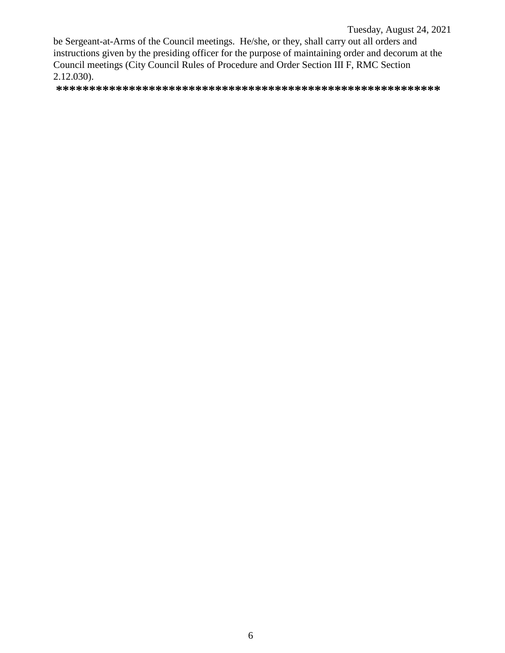### Tuesday, August 24, 2021

be Sergeant-at-Arms of the Council meetings. He/she, or they, shall carry out all orders and instructions given by the presiding officer for the purpose of maintaining order and decorum at the Council meetings (City Council Rules of Procedure and Order Section III F, RMC Section 2.12.030).

**\*\*\*\*\*\*\*\*\*\*\*\*\*\*\*\*\*\*\*\*\*\*\*\*\*\*\*\*\*\*\*\*\*\*\*\*\*\*\*\*\*\*\*\*\*\*\*\*\*\*\*\*\*\*\*\*\*\***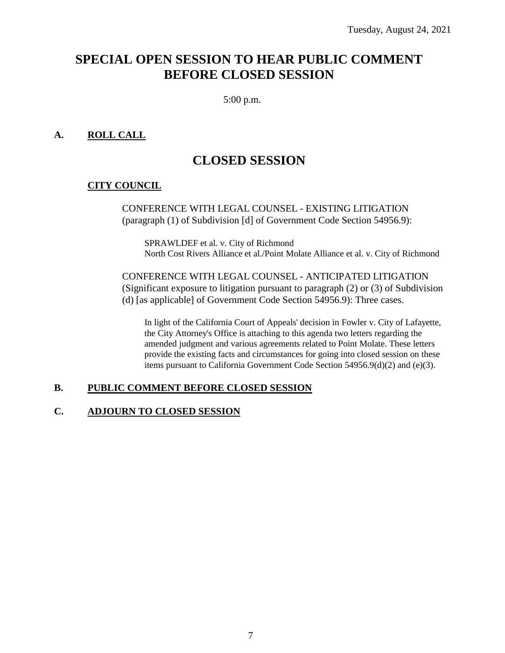# **SPECIAL OPEN SESSION TO HEAR PUBLIC COMMENT BEFORE CLOSED SESSION**

5:00 p.m.

# **A. ROLL CALL**

# **CLOSED SESSION**

# **CITY COUNCIL**

CONFERENCE WITH LEGAL COUNSEL - EXISTING LITIGATION (paragraph (1) of Subdivision [d] of Government Code Section 54956.9):

SPRAWLDEF et al. v. City of Richmond North Cost Rivers Alliance et al./Point Molate Alliance et al. v. City of Richmond

CONFERENCE WITH LEGAL COUNSEL - ANTICIPATED LITIGATION (Significant exposure to litigation pursuant to paragraph (2) or (3) of Subdivision (d) [as applicable] of Government Code Section 54956.9): Three cases.

In light of the California Court of Appeals' decision in Fowler v. City of Lafayette, the City Attorney's Office is attaching to this agenda two letters regarding the amended judgment and various agreements related to Point Molate. These letters provide the existing facts and circumstances for going into closed session on these items pursuant to California Government Code Section 54956.9(d)(2) and (e)(3).

#### **B. PUBLIC COMMENT BEFORE CLOSED SESSION**

#### **C. ADJOURN TO CLOSED SESSION**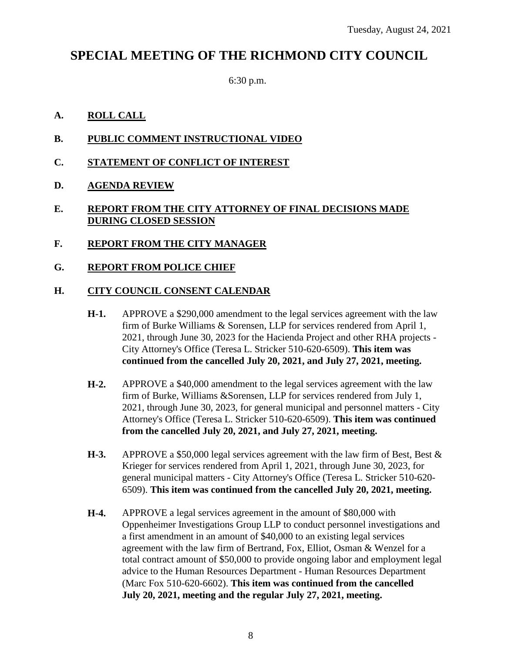# **SPECIAL MEETING OF THE RICHMOND CITY COUNCIL**

6:30 p.m.

# **A. ROLL CALL**

- **B. PUBLIC COMMENT INSTRUCTIONAL VIDEO**
- **C. STATEMENT OF CONFLICT OF INTEREST**
- **D. AGENDA REVIEW**
- **E. REPORT FROM THE CITY ATTORNEY OF FINAL DECISIONS MADE DURING CLOSED SESSION**
- **F. REPORT FROM THE CITY MANAGER**

# **G. REPORT FROM POLICE CHIEF**

# **H. CITY COUNCIL CONSENT CALENDAR**

- **H-1.** APPROVE a \$290,000 amendment to the legal services agreement with the law firm of Burke Williams & Sorensen, LLP for services rendered from April 1, 2021, through June 30, 2023 for the Hacienda Project and other RHA projects - City Attorney's Office (Teresa L. Stricker 510-620-6509). **This item was continued from the cancelled July 20, 2021, and July 27, 2021, meeting.**
- **H-2.** APPROVE a \$40,000 amendment to the legal services agreement with the law firm of Burke, Williams &Sorensen, LLP for services rendered from July 1, 2021, through June 30, 2023, for general municipal and personnel matters - City Attorney's Office (Teresa L. Stricker 510-620-6509). **This item was continued from the cancelled July 20, 2021, and July 27, 2021, meeting.**
- **H-3.** APPROVE a \$50,000 legal services agreement with the law firm of Best, Best & Krieger for services rendered from April 1, 2021, through June 30, 2023, for general municipal matters - City Attorney's Office (Teresa L. Stricker 510-620- 6509). **This item was continued from the cancelled July 20, 2021, meeting.**
- **H-4.** APPROVE a legal services agreement in the amount of \$80,000 with Oppenheimer Investigations Group LLP to conduct personnel investigations and a first amendment in an amount of \$40,000 to an existing legal services agreement with the law firm of Bertrand, Fox, Elliot, Osman & Wenzel for a total contract amount of \$50,000 to provide ongoing labor and employment legal advice to the Human Resources Department - Human Resources Department (Marc Fox 510-620-6602). **This item was continued from the cancelled July 20, 2021, meeting and the regular July 27, 2021, meeting.**